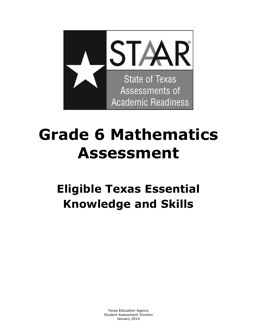

# **Grade 6 Mathematics Assessment**

## **Eligible Texas Essential Knowledge and Skills**

 Texas Education Agency Student Assessment Division January 2014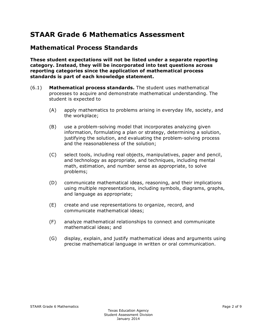## **STAAR Grade 6 Mathematics Assessment**

#### **Mathematical Process Standards**

**These student expectations will not be listed under a separate reporting category. Instead, they will be incorporated into test questions across reporting categories since the application of mathematical process standards is part of each knowledge statement.** 

- (6.1) **Mathematical process standards.** The student uses mathematical processes to acquire and demonstrate mathematical understanding. The student is expected to
	- (A) apply mathematics to problems arising in everyday life, society, and the workplace;
	- (B) use a problem-solving model that incorporates analyzing given information, formulating a plan or strategy, determining a solution, justifying the solution, and evaluating the problem-solving process and the reasonableness of the solution;
	- (C) select tools, including real objects, manipulatives, paper and pencil, and technology as appropriate, and techniques, including mental math, estimation, and number sense as appropriate, to solve problems;
	- (D) communicate mathematical ideas, reasoning, and their implications using multiple representations, including symbols, diagrams, graphs, and language as appropriate;
	- (E) create and use representations to organize, record, and communicate mathematical ideas;
	- (F) analyze mathematical relationships to connect and communicate mathematical ideas; and
	- (G) display, explain, and justify mathematical ideas and arguments using precise mathematical language in written or oral communication.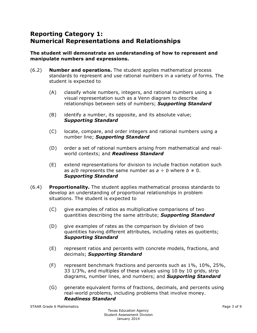## **Reporting Category 1: Numerical Representations and Relationships**

#### **The student will demonstrate an understanding of how to represent and manipulate numbers and expressions.**

- (6.2) **Number and operations.** The student applies mathematical process standards to represent and use rational numbers in a variety of forms. The student is expected to
	- (A) classify whole numbers, integers, and rational numbers using a visual representation such as a Venn diagram to describe relationships between sets of numbers; *Supporting Standard*
	- (B) identify a number, its opposite, and its absolute value; *Supporting Standard*
	- (C) locate, compare, and order integers and rational numbers using a number line; *Supporting Standard*
	- (D) order a set of rational numbers arising from mathematical and realworld contexts; and *Readiness Standard*
	- (E) extend representations for division to include fraction notation such as  $a/b$  represents the same number as  $a \div b$  where  $b \ne 0$ . *Supporting Standard*
- (6.4) **Proportionality.** The student applies mathematical process standards to develop an understanding of proportional relationships in problem situations. The student is expected to
	- (C) give examples of ratios as multiplicative comparisons of two quantities describing the same attribute; *Supporting Standard*
	- (D) give examples of rates as the comparison by division of two quantities having different attributes, including rates as quotients; *Supporting Standard*
	- (E) represent ratios and percents with concrete models, fractions, and decimals; *Supporting Standard*
	- (F) represent benchmark fractions and percents such as  $1\%$ ,  $10\%$ ,  $25\%$ , 33 1/3%, and multiples of these values using 10 by 10 grids, strip diagrams, number lines, and numbers; and *Supporting Standard*
	- (G) generate equivalent forms of fractions, decimals, and percents using real-world problems, including problems that involve money. *Readiness Standard*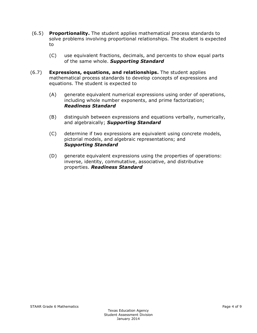- (6.5) **Proportionality.** The student applies mathematical process standards to solve problems involving proportional relationships. The student is expected to
	- (C) use equivalent fractions, decimals, and percents to show equal parts of the same whole. *Supporting Standard*
- (6.7) **Expressions, equations, and relationships.** The student applies mathematical process standards to develop concepts of expressions and equations. The student is expected to
	- (A) generate equivalent numerical expressions using order of operations, including whole number exponents, and prime factorization; *Readiness Standard*
	- (B) distinguish between expressions and equations verbally, numerically, and algebraically; *Supporting Standard*
	- (C) determine if two expressions are equivalent using concrete models, pictorial models, and algebraic representations; and *Supporting Standard*
	- (D) generate equivalent expressions using the properties of operations: inverse, identity, commutative, associative, and distributive properties. *Readiness Standard*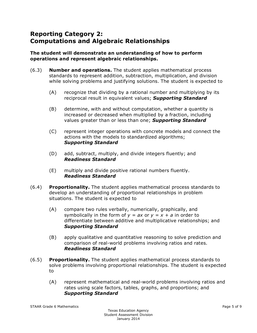## **Reporting Category 2: Computations and Algebraic Relationships**

#### **The student will demonstrate an understanding of how to perform operations and represent algebraic relationships.**

- (6.3) **Number and operations.** The student applies mathematical process standards to represent addition, subtraction, multiplication, and division while solving problems and justifying solutions. The student is expected to
	- (A) recognize that dividing by a rational number and multiplying by its reciprocal result in equivalent values; *Supporting Standard*
	- (B) determine, with and without computation, whether a quantity is increased or decreased when multiplied by a fraction, including values greater than or less than one; *Supporting Standard*
	- (C) represent integer operations with concrete models and connect the actions with the models to standardized algorithms; *Supporting Standard*
	- (D) add, subtract, multiply, and divide integers fluently; and *Readiness Standard*
	- (E) multiply and divide positive rational numbers fluently. *Readiness Standard*
- (6.4) **Proportionality.** The student applies mathematical process standards to develop an understanding of proportional relationships in problem situations. The student is expected to
	- (A) compare two rules verbally, numerically, graphically, and symbolically in the form of  $y = ax$  or  $y = x + a$  in order to differentiate between additive and multiplicative relationships; and *Supporting Standard*
	- (B) apply qualitative and quantitative reasoning to solve prediction and comparison of real-world problems involving ratios and rates. *Readiness Standard*
- (6.5) **Proportionality.** The student applies mathematical process standards to solve problems involving proportional relationships. The student is expected to
	- (A) represent mathematical and real-world problems involving ratios and rates using scale factors, tables, graphs, and proportions; and *Supporting Standard*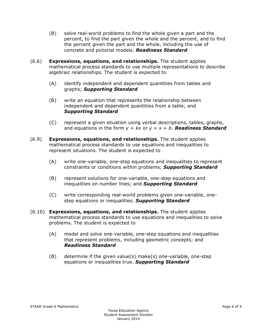- (B) solve real-world problems to find the whole given a part and the percent, to find the part given the whole and the percent, and to find the percent given the part and the whole, including the use of concrete and pictorial models. *Readiness Standard*
- (6.6) **Expressions, equations, and relationships.** The student applies mathematical process standards to use multiple representations to describe algebraic relationships. The student is expected to
	- (A) identify independent and dependent quantities from tables and graphs; *Supporting Standard*
	- (B) write an equation that represents the relationship between independent and dependent quantities from a table; and *Supporting Standard*
	- (C) represent a given situation using verbal descriptions, tables, graphs, and equations in the form  $y = kx$  or  $y = x + b$ . **Readiness Standard**
- (6.9) **Expressions, equations, and relationships.** The student applies mathematical process standards to use equations and inequalities to represent situations. The student is expected to
	- (A) write one-variable, one-step equations and inequalities to represent constraints or conditions within problems; *Supporting Standard*
	- (B) represent solutions for one-variable, one-step equations and inequalities on number lines; and *Supporting Standard*
	- (C) write corresponding real-world problems given one-variable, onestep equations or inequalities. *Supporting Standard*
- (6.10) **Expressions, equations, and relationships.** The student applies mathematical process standards to use equations and inequalities to solve problems. The student is expected to
	- (A) model and solve one-variable, one-step equations and inequalities that represent problems, including geometric concepts; and *Readiness Standard*
	- (B) determine if the given value(s) make(s) one-variable, one-step equations or inequalities true. *Supporting Standard*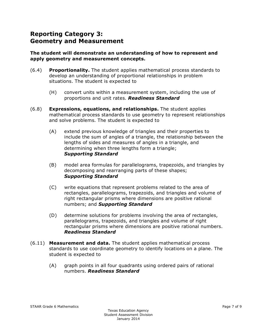## **Reporting Category 3: Geometry and Measurement**

#### **The student will demonstrate an understanding of how to represent and apply geometry and measurement concepts.**

- (6.4) **Proportionality.** The student applies mathematical process standards to develop an understanding of proportional relationships in problem situations. The student is expected to
	- (H) convert units within a measurement system, including the use of proportions and unit rates. *Readiness Standard*
- (6.8) **Expressions, equations, and relationships.** The student applies mathematical process standards to use geometry to represent relationships and solve problems. The student is expected to
	- (A) extend previous knowledge of triangles and their properties to include the sum of angles of a triangle, the relationship between the lengths of sides and measures of angles in a triangle, and determining when three lengths form a triangle; *Supporting Standard*
	- (B) model area formulas for parallelograms, trapezoids, and triangles by decomposing and rearranging parts of these shapes; *Supporting Standard*
	- (C) write equations that represent problems related to the area of rectangles, parallelograms, trapezoids, and triangles and volume of right rectangular prisms where dimensions are positive rational numbers; and *Supporting Standard*
	- (D) determine solutions for problems involving the area of rectangles, parallelograms, trapezoids, and triangles and volume of right rectangular prisms where dimensions are positive rational numbers. *Readiness Standard*
- (6.11) **Measurement and data.** The student applies mathematical process standards to use coordinate geometry to identify locations on a plane. The student is expected to
	- (A) graph points in all four quadrants using ordered pairs of rational numbers. *Readiness Standard*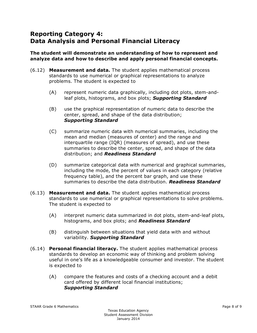## **Reporting Category 4: Data Analysis and Personal Financial Literacy**

#### **The student will demonstrate an understanding of how to represent and analyze data and how to describe and apply personal financial concepts.**

- (6.12) **Measurement and data.** The student applies mathematical process standards to use numerical or graphical representations to analyze problems. The student is expected to
	- (A) represent numeric data graphically, including dot plots, stem-andleaf plots, histograms, and box plots; *Supporting Standard*
	- (B) use the graphical representation of numeric data to describe the center, spread, and shape of the data distribution; *Supporting Standard*
	- (C) summarize numeric data with numerical summaries, including the mean and median (measures of center) and the range and interquartile range (IQR) (measures of spread), and use these summaries to describe the center, spread, and shape of the data distribution; and *Readiness Standard*
	- (D) summarize categorical data with numerical and graphical summaries, including the mode, the percent of values in each category (relative frequency table), and the percent bar graph, and use these summaries to describe the data distribution. *Readiness Standard*
- (6.13) **Measurement and data.** The student applies mathematical process standards to use numerical or graphical representations to solve problems. The student is expected to
	- (A) interpret numeric data summarized in dot plots, stem-and-leaf plots, histograms, and box plots; and *Readiness Standard*
	- (B) distinguish between situations that yield data with and without variability. *Supporting Standard*
- (6.14) **Personal financial literacy.** The student applies mathematical process standards to develop an economic way of thinking and problem solving useful in one's life as a knowledgeable consumer and investor. The student is expected to
	- (A) compare the features and costs of a checking account and a debit card offered by different local financial institutions; *Supporting Standard*